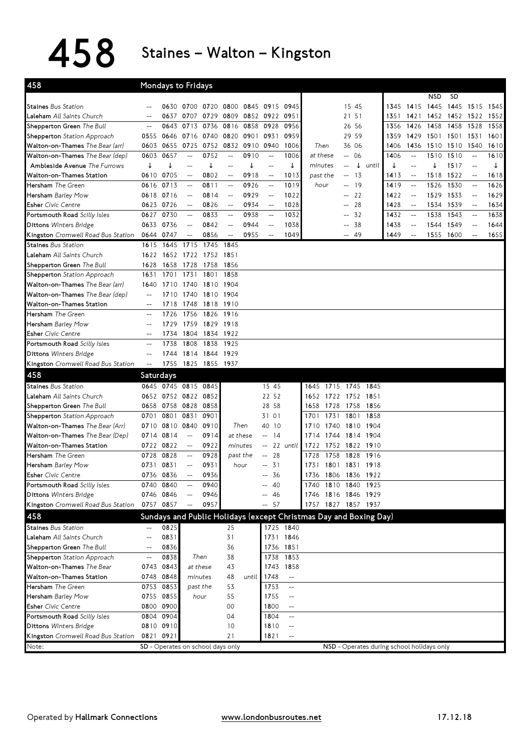## 458 Staines–Walton–Kingston

| 458                                |                                                     |           | Mondays to Fridays                |           |                                                     |           |                                                     |                          |                                                                   |      |                      |                |                                            |                          |            |           |                                                     |      |
|------------------------------------|-----------------------------------------------------|-----------|-----------------------------------|-----------|-----------------------------------------------------|-----------|-----------------------------------------------------|--------------------------|-------------------------------------------------------------------|------|----------------------|----------------|--------------------------------------------|--------------------------|------------|-----------|-----------------------------------------------------|------|
|                                    |                                                     |           |                                   |           |                                                     |           |                                                     |                          |                                                                   |      |                      |                |                                            |                          | <b>NSD</b> | <b>SD</b> |                                                     |      |
| <b>Staines Bus Station</b>         |                                                     |           | 0630 0700 0720                    |           | 0800 0845 0915                                      |           |                                                     | 0945                     |                                                                   |      | 15 45                |                | 1345                                       |                          | 1415 1445  | 1445      | 1515 1545                                           |      |
| Laleham All Saints Church          | --                                                  | 0637      | 0707                              | 0729      | 0809                                                | 0852 0922 |                                                     | 0951                     |                                                                   |      | 21 51                |                | 1351                                       | 1421                     | 1452 1452  |           | 1522                                                | 1552 |
| Shepperton Green The Bull          | $-$                                                 | 0643      | 0713                              | 0736      | 0816                                                | 0858 0928 |                                                     | 0956                     |                                                                   |      | 26 56                |                | 1356                                       | 1426                     | 1458       | 1458      | 1528                                                | 1558 |
| <b>Shepperton</b> Station Approach | 0555                                                | 0646      | 0716                              | 0740      | 0820                                                | 0901      | 0931                                                | 0959                     |                                                                   |      | 29 59                |                | 1359                                       | 1429                     | 1501 1501  |           | 1531                                                | 1601 |
| Walton-on-Thames The Bear (arr)    | 0603                                                | 0655      | 0725                              | 0752      |                                                     | 0832 0910 | 0940                                                | 1006                     | Then                                                              |      | 36 06                |                | 1406                                       | 1436                     | 1510 1510  |           | 1540                                                | 1610 |
| Walton-on-Thames The Bear (dep)    | 0603                                                | 0657      | $\overline{a}$                    | 0752      | $\overline{\phantom{m}}$                            | 0910      | $\overline{\phantom{a}}$                            | 1006                     | at these                                                          |      | $- 06$               |                | 1406                                       | $-$                      | 1510       | 1510      | $\overline{\phantom{m}}$                            | 1610 |
| Ambleside Avenue The Furrows       | ↓                                                   | ↓         |                                   | ↓         | $-$                                                 | ↓         | $\overline{\phantom{0}}$                            | ↓                        | minutes                                                           |      | $\downarrow$<br>--   | until          |                                            | $-$                      | ↓          | 1517      | $\overline{\phantom{a}}$                            | ↓    |
| Walton-on-Thames Station           |                                                     | 0610 0705 | $\qquad \qquad -$                 | 0802      | $\hspace{0.05cm} -\hspace{0.05cm} -\hspace{0.05cm}$ | 0918      | $\hspace{0.05cm} -\hspace{0.05cm} -\hspace{0.05cm}$ | 1013                     | past the                                                          |      | - 13<br>$--$         |                | 1413                                       | $-$                      | 1518       | 1522      | $- -$                                               | 1618 |
| Hersham The Green                  | 0616                                                | 0713      | $-\!$                             | 0811      | $\hspace{0.05cm} \dashv$                            | 0926      | $\hspace{0.05cm}--\hspace{0.05cm}$                  | 1019                     | hour                                                              |      | -19<br>$-$           |                | 1419                                       | $-\!$                    | 1526       | 1530      | $\hspace{0.05cm} \dashv$                            | 1626 |
| Hersham Barley Mow                 | 0618                                                | 0716      | $-$                               | 0814      | $\hspace{0.05cm} -\hspace{0.05cm} -\hspace{0.05cm}$ | 0929      | $\hspace{0.05cm} -\hspace{0.05cm} -\hspace{0.05cm}$ | 1022                     |                                                                   |      | 22<br>$\overline{a}$ |                | 1422                                       | $-$                      | 1529       | 1533      | $\hspace{0.05cm} -\hspace{0.05cm} -\hspace{0.05cm}$ | 1629 |
| <b>Esher</b> Civic Centre          |                                                     | 0623 0726 | $-\!$                             | 0826      | $\overline{\phantom{m}}$                            | 0934      | $- -$                                               | 1028                     |                                                                   |      | 28<br>$\overline{a}$ |                | 1428                                       | $-$                      | 1534       | 1539      | $\overline{\phantom{m}}$                            | 1634 |
| Portsmouth Road Scilly Isles       | 0627                                                | 0730      | $\overline{\phantom{a}}$          | 0833      | $\overline{\phantom{m}}$                            | 0938      | $\overline{\phantom{a}}$                            | 1032                     |                                                                   |      | 32                   |                | 1432                                       | $\overline{\phantom{a}}$ | 1538       | 1543      | $\overline{\phantom{m}}$                            | 1638 |
| <b>Dittons Winters Bridge</b>      | 0633                                                | 0736      | $-$                               | 0842      | $\hspace{0.05cm} -\hspace{0.05cm}$                  | 0944      | $\qquad \qquad -$                                   | 1038                     |                                                                   |      | 38                   |                | 1438                                       | $-$                      | 1544       | 1549      | $\hspace{0.05cm} -\hspace{0.05cm}$                  | 1644 |
| Kingston Cromwell Road Bus Station | 0644 0747                                           |           | $-$                               | 0856      | $\overline{\phantom{m}}$                            | 0955      | $- -$                                               | 1049                     |                                                                   |      | -- 49                |                | 1449                                       | $-\!$                    | 1555 1600  |           | $\overline{\phantom{m}}$                            | 1655 |
| <b>Staines Bus Station</b>         | 1615                                                | 1645      | 1715                              | 1745      | 1845                                                |           |                                                     |                          |                                                                   |      |                      |                |                                            |                          |            |           |                                                     |      |
| Laleham All Saints Church          | 1622                                                | 1652      | 1722                              | 1752      | 1851                                                |           |                                                     |                          |                                                                   |      |                      |                |                                            |                          |            |           |                                                     |      |
| Shepperton Green The Bull          | 1628                                                | 1658      | 1728                              | 1758      | 1856                                                |           |                                                     |                          |                                                                   |      |                      |                |                                            |                          |            |           |                                                     |      |
| <b>Shepperton</b> Station Approach | 1631                                                | 1701      | 1731                              | 1801      | 1858                                                |           |                                                     |                          |                                                                   |      |                      |                |                                            |                          |            |           |                                                     |      |
| Walton-on-Thames The Bear (arr)    | 1640                                                | 1710      | 1740                              | 1810      | 1904                                                |           |                                                     |                          |                                                                   |      |                      |                |                                            |                          |            |           |                                                     |      |
| Walton-on-Thames The Bear (dep)    | $\qquad \qquad -$                                   | 1710      | 1740                              | 1810 1904 |                                                     |           |                                                     |                          |                                                                   |      |                      |                |                                            |                          |            |           |                                                     |      |
| Walton-on-Thames Station           | $\hspace{0.05cm} -\hspace{0.05cm} -\hspace{0.05cm}$ | 1718      | 1748                              | 1818 1910 |                                                     |           |                                                     |                          |                                                                   |      |                      |                |                                            |                          |            |           |                                                     |      |
| Hersham The Green                  | $--$                                                | 1726      | 1756                              | 1826      | 1916                                                |           |                                                     |                          |                                                                   |      |                      |                |                                            |                          |            |           |                                                     |      |
| <b>Hersham</b> Barley Mow          | $\overline{a}$                                      | 1729      | 1759                              | 1829      | 1918                                                |           |                                                     |                          |                                                                   |      |                      |                |                                            |                          |            |           |                                                     |      |
| <b>Esher</b> Civic Centre          | $-$                                                 | 1734      | 1804                              | 1834      | 1922                                                |           |                                                     |                          |                                                                   |      |                      |                |                                            |                          |            |           |                                                     |      |
| Portsmouth Road Scilly Isles       | $-$                                                 | 1738      | 1808                              | 1838      | 1925                                                |           |                                                     |                          |                                                                   |      |                      |                |                                            |                          |            |           |                                                     |      |
| <b>Dittons Winters Bridge</b>      | $-$                                                 | 1744      | 1814                              | 1844      | 1929                                                |           |                                                     |                          |                                                                   |      |                      |                |                                            |                          |            |           |                                                     |      |
| Kingston Cromwell Road Bus Station | $\overline{\phantom{a}}$                            | 1755      | 1825 1855 1937                    |           |                                                     |           |                                                     |                          |                                                                   |      |                      |                |                                            |                          |            |           |                                                     |      |
| 458                                | Saturdays                                           |           |                                   |           |                                                     |           |                                                     |                          |                                                                   |      |                      |                |                                            |                          |            |           |                                                     |      |
| <b>Staines Bus Station</b>         |                                                     |           | 0645 0745 0815 0845               |           |                                                     |           | 15 45                                               |                          | 1645                                                              |      |                      | 1715 1745 1845 |                                            |                          |            |           |                                                     |      |
| Laleham All Saints Church          |                                                     |           | 0652 0752 0822                    | 0852      |                                                     |           | 22 52                                               |                          | 1652                                                              | 1722 |                      | 1752 1851      |                                            |                          |            |           |                                                     |      |
| Shepperton Green The Bull          | 0658                                                | 0758 0828 |                                   | 0858      |                                                     |           | 28 58                                               |                          | 1658                                                              | 1728 |                      | 1758 1856      |                                            |                          |            |           |                                                     |      |
| Shepperton Station Approach        | 0701                                                | 0801      | 0831                              | 0901      |                                                     |           | 31 01                                               |                          | 1701                                                              | 1731 |                      | 1801 1858      |                                            |                          |            |           |                                                     |      |
| Walton-on-Thames The Bear (Arr)    | 0710                                                |           | 0810 0840                         | 0910      | Then                                                |           | 40<br>10                                            |                          | 1710                                                              | 1740 |                      | 1810 1904      |                                            |                          |            |           |                                                     |      |
| Walton-on-Thames The Bear (Dep)    | 0714                                                | 0814      | $\overline{\phantom{a}}$          | 0914      |                                                     | at these  | 14<br>$\overline{\phantom{a}}$                      |                          | 1714                                                              | 1744 |                      | 1814 1904      |                                            |                          |            |           |                                                     |      |
| Walton-on-Thames Station           | 0722                                                | 0822      | $-\!$                             | 0922      | minutes                                             |           | --                                                  | 22 until                 | 1722                                                              |      |                      | 1752 1822 1910 |                                            |                          |            |           |                                                     |      |
| Hersham The Green                  | 0728                                                | 0828      | $\overline{\phantom{a}}$          | 0928      |                                                     | past the  | 28<br>$-$                                           |                          | 1728                                                              | 1758 | 1828                 | 1916           |                                            |                          |            |           |                                                     |      |
| Hersham Barley Mow                 | 0731 0831                                           |           | $-$                               | 0931      | hour                                                |           | 31<br>$- -$                                         |                          | 1731                                                              |      |                      | 1801 1831 1918 |                                            |                          |            |           |                                                     |      |
| <b>Esher</b> Civic Centre          | 0736                                                | 0836      | $\overline{a}$                    | 0936      |                                                     |           | 36<br>$- -$                                         |                          | 1736                                                              |      |                      | 1806 1836 1922 |                                            |                          |            |           |                                                     |      |
| Portsmouth Road Scilly Isles       |                                                     | 0740 0840 | $-\!$                             | 0940      |                                                     |           | -40<br>$-$                                          |                          | 1740 1810 1840 1925                                               |      |                      |                |                                            |                          |            |           |                                                     |      |
| <b>Dittons Winters Bridge</b>      |                                                     | 0746 0846 |                                   | 0946      |                                                     |           | 46                                                  |                          | 1746                                                              |      |                      | 1816 1846 1929 |                                            |                          |            |           |                                                     |      |
| Kingston Cromwell Road Bus Station |                                                     | 0757 0857 | $-$                               | 0957      |                                                     |           | $-- 57$                                             |                          | 1757 1827 1857 1937                                               |      |                      |                |                                            |                          |            |           |                                                     |      |
| 458                                |                                                     |           |                                   |           |                                                     |           |                                                     |                          | Sundays and Public Holidays (except Christmas Day and Boxing Day) |      |                      |                |                                            |                          |            |           |                                                     |      |
| <b>Staines Bus Station</b>         |                                                     | 0825      |                                   |           | 25                                                  |           |                                                     | 1725 1840                |                                                                   |      |                      |                |                                            |                          |            |           |                                                     |      |
| Laleham All Saints Church          | $-$                                                 | 0831      |                                   |           | 31                                                  |           |                                                     | 1731 1846                |                                                                   |      |                      |                |                                            |                          |            |           |                                                     |      |
| Shepperton Green The Bull          | $\hspace{0.05cm}--\hspace{0.05cm}$                  | 0836      |                                   |           | 36                                                  |           | 1736                                                | 1851                     |                                                                   |      |                      |                |                                            |                          |            |           |                                                     |      |
| Shepperton Station Approach        | --                                                  | 0838      | Then                              |           | 38                                                  |           | 1738                                                | 1853                     |                                                                   |      |                      |                |                                            |                          |            |           |                                                     |      |
| Walton-on-Thames The Bear          |                                                     | 0743 0843 | at these                          |           | 43                                                  |           |                                                     | 1743 1858                |                                                                   |      |                      |                |                                            |                          |            |           |                                                     |      |
| Walton-on-Thames Station           |                                                     | 0748 0848 | minutes                           |           | 48                                                  | until     | 1748                                                | $\qquad \qquad -$        |                                                                   |      |                      |                |                                            |                          |            |           |                                                     |      |
| <b>Hersham</b> The Green           |                                                     | 0753 0853 | past the                          |           | 53                                                  |           | 1753                                                | $\overline{\phantom{a}}$ |                                                                   |      |                      |                |                                            |                          |            |           |                                                     |      |
| Hersham Barley Mow                 |                                                     | 0755 0855 | hour                              |           | 55                                                  |           | 1755                                                | $-\!$                    |                                                                   |      |                      |                |                                            |                          |            |           |                                                     |      |
| <b>Esher</b> Civic Centre          |                                                     | 0800 0900 |                                   |           | 00                                                  |           | 1800                                                | $-\!$                    |                                                                   |      |                      |                |                                            |                          |            |           |                                                     |      |
| Portsmouth Road Scilly Isles       |                                                     | 0804 0904 |                                   |           | 04                                                  |           | 1804                                                | $\overline{\phantom{a}}$ |                                                                   |      |                      |                |                                            |                          |            |           |                                                     |      |
| <b>Dittons Winters Bridge</b>      |                                                     | 0810 0910 |                                   |           | 10                                                  |           | 1810                                                | $-\!$                    |                                                                   |      |                      |                |                                            |                          |            |           |                                                     |      |
| Kingston Cromwell Road Bus Station | 0821 0921                                           |           |                                   |           | 21                                                  |           | 1821                                                | $\overline{\phantom{a}}$ |                                                                   |      |                      |                |                                            |                          |            |           |                                                     |      |
| Note:                              |                                                     |           | SD - Operates on school days only |           |                                                     |           |                                                     |                          |                                                                   |      |                      |                | NSD - Operates during school holidays only |                          |            |           |                                                     |      |
|                                    |                                                     |           |                                   |           |                                                     |           |                                                     |                          |                                                                   |      |                      |                |                                            |                          |            |           |                                                     |      |